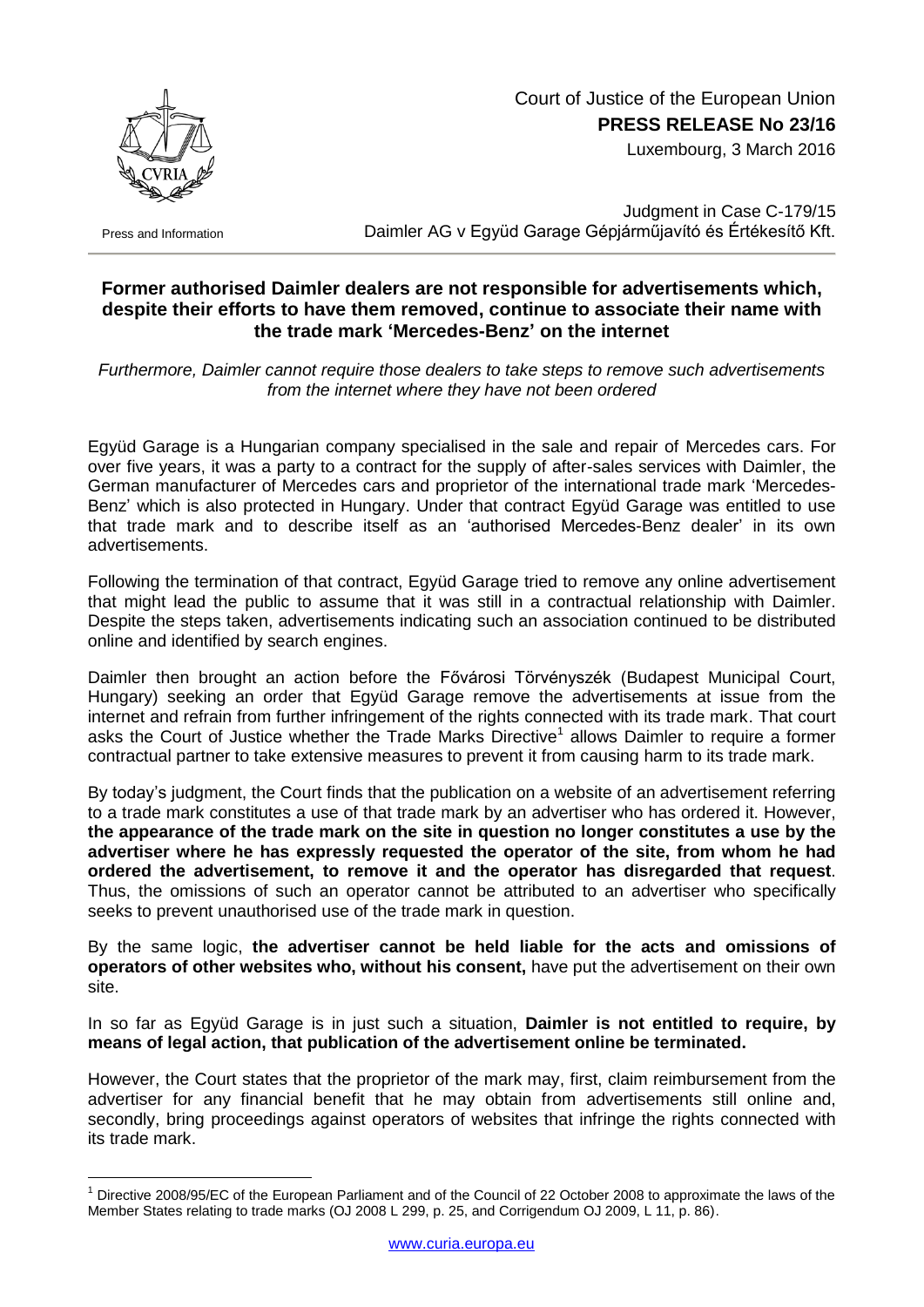

## Court of Justice of the European Union **PRESS RELEASE No 23/16**

Luxembourg, 3 March 2016

Press and Information

<u>.</u>

Judgment in Case C-179/15 Daimler AG v Együd Garage Gépjárműjavító és Értékesítő Kft.

## **Former authorised Daimler dealers are not responsible for advertisements which, despite their efforts to have them removed, continue to associate their name with the trade mark 'Mercedes-Benz' on the internet**

*Furthermore, Daimler cannot require those dealers to take steps to remove such advertisements from the internet where they have not been ordered* 

Együd Garage is a Hungarian company specialised in the sale and repair of Mercedes cars. For over five years, it was a party to a contract for the supply of after-sales services with Daimler, the German manufacturer of Mercedes cars and proprietor of the international trade mark 'Mercedes-Benz' which is also protected in Hungary. Under that contract Együd Garage was entitled to use that trade mark and to describe itself as an 'authorised Mercedes-Benz dealer' in its own advertisements.

Following the termination of that contract, Együd Garage tried to remove any online advertisement that might lead the public to assume that it was still in a contractual relationship with Daimler. Despite the steps taken, advertisements indicating such an association continued to be distributed online and identified by search engines.

Daimler then brought an action before the Fővárosi Törvényszék (Budapest Municipal Court, Hungary) seeking an order that Együd Garage remove the advertisements at issue from the internet and refrain from further infringement of the rights connected with its trade mark. That court asks the Court of Justice whether the Trade Marks Directive<sup>1</sup> allows Daimler to require a former contractual partner to take extensive measures to prevent it from causing harm to its trade mark.

By today's judgment, the Court finds that the publication on a website of an advertisement referring to a trade mark constitutes a use of that trade mark by an advertiser who has ordered it. However, **the appearance of the trade mark on the site in question no longer constitutes a use by the advertiser where he has expressly requested the operator of the site, from whom he had ordered the advertisement, to remove it and the operator has disregarded that request**. Thus, the omissions of such an operator cannot be attributed to an advertiser who specifically seeks to prevent unauthorised use of the trade mark in question.

By the same logic, **the advertiser cannot be held liable for the acts and omissions of operators of other websites who, without his consent,** have put the advertisement on their own site.

In so far as Együd Garage is in just such a situation, **Daimler is not entitled to require, by means of legal action, that publication of the advertisement online be terminated.**

However, the Court states that the proprietor of the mark may, first, claim reimbursement from the advertiser for any financial benefit that he may obtain from advertisements still online and, secondly, bring proceedings against operators of websites that infringe the rights connected with its trade mark.

<sup>1</sup> Directive 2008/95/EC of the European Parliament and of the Council of 22 October 2008 to approximate the laws of the Member States relating to trade marks (OJ 2008 L 299, p. 25, and Corrigendum OJ 2009, L 11, p. 86).